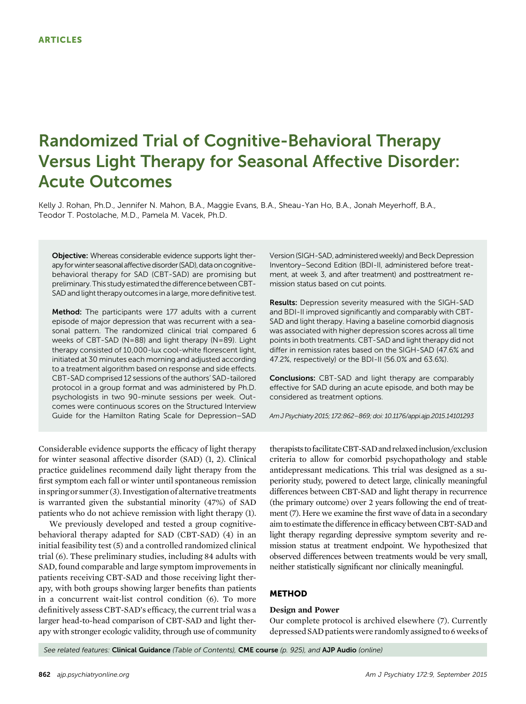# Randomized Trial of Cognitive-Behavioral Therapy Versus Light Therapy for Seasonal Affective Disorder: Acute Outcomes

Kelly J. Rohan, Ph.D., Jennifer N. Mahon, B.A., Maggie Evans, B.A., Sheau-Yan Ho, B.A., Jonah Meyerhoff, B.A., Teodor T. Postolache, M.D., Pamela M. Vacek, Ph.D.

Objective: Whereas considerable evidence supports light therapy for winter seasonal affective disorder (SAD), data on cognitivebehavioral therapy for SAD (CBT-SAD) are promising but preliminary. This study estimated the difference between CBT-SAD and light therapy outcomes in a large, more definitive test.

Method: The participants were 177 adults with a current episode of major depression that was recurrent with a seasonal pattern. The randomized clinical trial compared 6 weeks of CBT-SAD (N=88) and light therapy (N=89). Light therapy consisted of 10,000-lux cool-white florescent light, initiated at 30 minutes each morning and adjusted according to a treatment algorithm based on response and side effects. CBT-SAD comprised 12 sessions of the authors' SAD-tailored protocol in a group format and was administered by Ph.D. psychologists in two 90-minute sessions per week. Outcomes were continuous scores on the Structured Interview Guide for the Hamilton Rating Scale for Depression–SAD

Version(SIGH-SAD, administered weekly) and Beck Depression Inventory–Second Edition (BDI-II, administered before treatment, at week 3, and after treatment) and posttreatment remission status based on cut points.

Results: Depression severity measured with the SIGH-SAD and BDI-II improved significantly and comparably with CBT-SAD and light therapy. Having a baseline comorbid diagnosis was associated with higher depression scores across all time points in both treatments. CBT-SAD and light therapy did not differ in remission rates based on the SIGH-SAD (47.6% and 47.2%, respectively) or the BDI-II (56.0% and 63.6%).

Conclusions: CBT-SAD and light therapy are comparably effective for SAD during an acute episode, and both may be considered as treatment options.

Am J Psychiatry 2015; 172:862–869; doi: 10.1176/appi.ajp.2015.14101293

Considerable evidence supports the efficacy of light therapy for winter seasonal affective disorder (SAD) (1, 2). Clinical practice guidelines recommend daily light therapy from the first symptom each fall or winter until spontaneous remission in spring or summer  $(3)$ . Investigation of alternative treatments is warranted given the substantial minority (47%) of SAD patients who do not achieve remission with light therapy (1).

We previously developed and tested a group cognitivebehavioral therapy adapted for SAD (CBT-SAD) (4) in an initial feasibility test (5) and a controlled randomized clinical trial (6). These preliminary studies, including 84 adults with SAD, found comparable and large symptom improvements in patients receiving CBT-SAD and those receiving light therapy, with both groups showing larger benefits than patients in a concurrent wait-list control condition (6). To more definitively assess CBT-SAD's efficacy, the current trial was a larger head-to-head comparison of CBT-SAD and light therapy with stronger ecologic validity, through use of community therapists to facilitateCBT-SADandrelaxedinclusion/exclusion criteria to allow for comorbid psychopathology and stable antidepressant medications. This trial was designed as a superiority study, powered to detect large, clinically meaningful differences between CBT-SAD and light therapy in recurrence (the primary outcome) over 2 years following the end of treatment (7). Here we examine the first wave of data in a secondary aim to estimate the difference in efficacy between CBT-SAD and light therapy regarding depressive symptom severity and remission status at treatment endpoint. We hypothesized that observed differences between treatments would be very small, neither statistically significant nor clinically meaningful.

# METHOD

## Design and Power

Our complete protocol is archived elsewhere (7). Currently depressed SAD patients were randomly assigned to 6 weeks of

See related features: Clinical Guidance (Table of Contents), CME course (p. 925), and AJP Audio (online)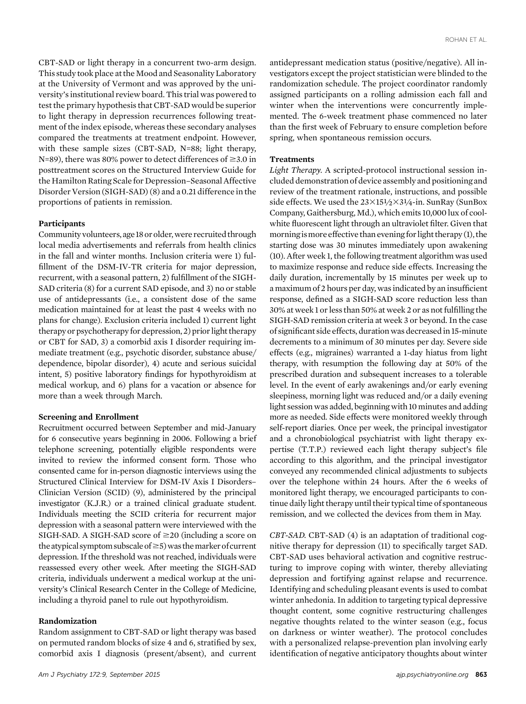CBT-SAD or light therapy in a concurrent two-arm design. This study took place at the Mood and Seasonality Laboratory at the University of Vermont and was approved by the university's institutional review board. This trial was powered to test the primary hypothesis that CBT-SAD would be superior to light therapy in depression recurrences following treatment of the index episode, whereas these secondary analyses compared the treatments at treatment endpoint. However, with these sample sizes (CBT-SAD, N=88; light therapy, N=89), there was 80% power to detect differences of  $\geq 3.0$  in posttreatment scores on the Structured Interview Guide for the Hamilton Rating Scale for Depression–Seasonal Affective Disorder Version (SIGH-SAD) (8) and a 0.21 difference in the proportions of patients in remission.

## Participants

Community volunteers, age 18 or older, were recruited through local media advertisements and referrals from health clinics in the fall and winter months. Inclusion criteria were 1) fulfillment of the DSM-IV-TR criteria for major depression, recurrent, with a seasonal pattern, 2) fulfillment of the SIGH-SAD criteria (8) for a current SAD episode, and 3) no or stable use of antidepressants (i.e., a consistent dose of the same medication maintained for at least the past 4 weeks with no plans for change). Exclusion criteria included 1) current light therapy or psychotherapy for depression, 2) prior light therapy or CBT for SAD, 3) a comorbid axis I disorder requiring immediate treatment (e.g., psychotic disorder, substance abuse/ dependence, bipolar disorder), 4) acute and serious suicidal intent, 5) positive laboratory findings for hypothyroidism at medical workup, and 6) plans for a vacation or absence for more than a week through March.

## Screening and Enrollment

Recruitment occurred between September and mid-January for 6 consecutive years beginning in 2006. Following a brief telephone screening, potentially eligible respondents were invited to review the informed consent form. Those who consented came for in-person diagnostic interviews using the Structured Clinical Interview for DSM-IV Axis I Disorders– Clinician Version (SCID) (9), administered by the principal investigator (K.J.R.) or a trained clinical graduate student. Individuals meeting the SCID criteria for recurrent major depression with a seasonal pattern were interviewed with the SIGH-SAD. A SIGH-SAD score of  $\geq$ 20 (including a score on the atypical symptom subscale of  $\geq$  5) was the marker of current depression. If the threshold was not reached, individuals were reassessed every other week. After meeting the SIGH-SAD criteria, individuals underwent a medical workup at the university's Clinical Research Center in the College of Medicine, including a thyroid panel to rule out hypothyroidism.

# Randomization

Random assignment to CBT-SAD or light therapy was based on permuted random blocks of size 4 and 6, stratified by sex, comorbid axis I diagnosis (present/absent), and current antidepressant medication status (positive/negative). All investigators except the project statistician were blinded to the randomization schedule. The project coordinator randomly assigned participants on a rolling admission each fall and winter when the interventions were concurrently implemented. The 6-week treatment phase commenced no later than the first week of February to ensure completion before spring, when spontaneous remission occurs.

## **Treatments**

Light Therapy. A scripted-protocol instructional session included demonstration of device assembly and positioning and review of the treatment rationale, instructions, and possible side effects. We used the  $23\times15\frac{1}{2}\times3\frac{1}{4}$ -in. SunRay (SunBox Company, Gaithersburg, Md.), which emits 10,000 lux of coolwhite fluorescent light through an ultraviolet filter. Given that morning is more effective than evening for light therapy (1), the starting dose was 30 minutes immediately upon awakening (10). After week 1, the following treatment algorithm was used to maximize response and reduce side effects. Increasing the daily duration, incrementally by 15 minutes per week up to a maximum of 2 hours per day, was indicated by an insufficient response, defined as a SIGH-SAD score reduction less than 30% at week 1 or less than 50% at week 2 or as not fulfilling the SIGH-SAD remission criteria at week 3 or beyond. In the case of significant side effects, duration was decreased in 15-minute decrements to a minimum of 30 minutes per day. Severe side effects (e.g., migraines) warranted a 1-day hiatus from light therapy, with resumption the following day at 50% of the prescribed duration and subsequent increases to a tolerable level. In the event of early awakenings and/or early evening sleepiness, morning light was reduced and/or a daily evening light session was added, beginning with 10 minutes and adding more as needed. Side effects were monitored weekly through self-report diaries. Once per week, the principal investigator and a chronobiological psychiatrist with light therapy expertise (T.T.P.) reviewed each light therapy subject's file according to this algorithm, and the principal investigator conveyed any recommended clinical adjustments to subjects over the telephone within 24 hours. After the 6 weeks of monitored light therapy, we encouraged participants to continue daily light therapy until their typical time of spontaneous remission, and we collected the devices from them in May.

CBT-SAD. CBT-SAD (4) is an adaptation of traditional cognitive therapy for depression (11) to specifically target SAD. CBT-SAD uses behavioral activation and cognitive restructuring to improve coping with winter, thereby alleviating depression and fortifying against relapse and recurrence. Identifying and scheduling pleasant events is used to combat winter anhedonia. In addition to targeting typical depressive thought content, some cognitive restructuring challenges negative thoughts related to the winter season (e.g., focus on darkness or winter weather). The protocol concludes with a personalized relapse-prevention plan involving early identification of negative anticipatory thoughts about winter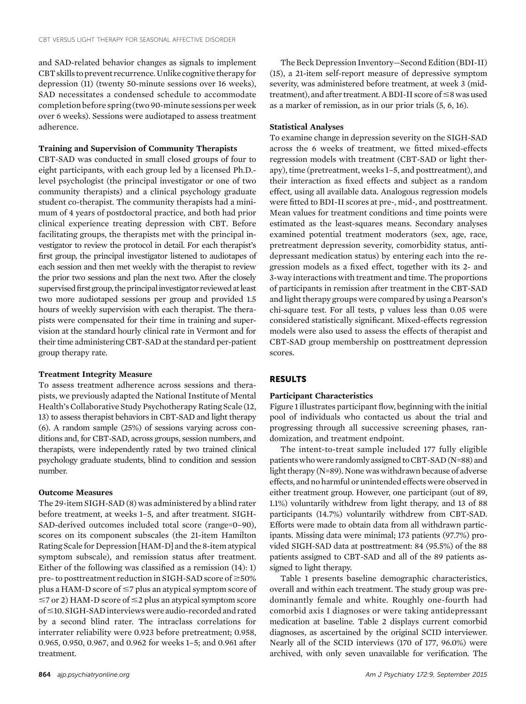and SAD-related behavior changes as signals to implement CBT skills to prevent recurrence. Unlike cognitive therapy for depression (11) (twenty 50-minute sessions over 16 weeks), SAD necessitates a condensed schedule to accommodate completion before spring (two 90-minute sessions per week over 6 weeks). Sessions were audiotaped to assess treatment adherence.

# Training and Supervision of Community Therapists

CBT-SAD was conducted in small closed groups of four to eight participants, with each group led by a licensed Ph.D. level psychologist (the principal investigator or one of two community therapists) and a clinical psychology graduate student co-therapist. The community therapists had a minimum of 4 years of postdoctoral practice, and both had prior clinical experience treating depression with CBT. Before facilitating groups, the therapists met with the principal investigator to review the protocol in detail. For each therapist's first group, the principal investigator listened to audiotapes of each session and then met weekly with the therapist to review the prior two sessions and plan the next two. After the closely supervised first group, the principal investigator reviewed at least two more audiotaped sessions per group and provided 1.5 hours of weekly supervision with each therapist. The therapists were compensated for their time in training and supervision at the standard hourly clinical rate in Vermont and for their time administering CBT-SAD at the standard per-patient group therapy rate.

#### Treatment Integrity Measure

To assess treatment adherence across sessions and therapists, we previously adapted the National Institute of Mental Health's Collaborative Study Psychotherapy Rating Scale (12, 13) to assess therapist behaviors in CBT-SAD and light therapy (6). A random sample (25%) of sessions varying across conditions and, for CBT-SAD, across groups, session numbers, and therapists, were independently rated by two trained clinical psychology graduate students, blind to condition and session number.

# Outcome Measures

The 29-item SIGH-SAD (8) was administered by a blind rater before treatment, at weeks 1–5, and after treatment. SIGH-SAD-derived outcomes included total score (range=0–90), scores on its component subscales (the 21-item Hamilton Rating Scale for Depression [HAM-D] and the 8-item atypical symptom subscale), and remission status after treatment. Either of the following was classified as a remission (14): 1) pre- to posttreatment reduction in SIGH-SAD score of  $\geq$ 50% plus a HAM-D score of  $\leq$ 7 plus an atypical symptom score of  $\le$ 7 or 2) HAM-D score of  $\le$ 2 plus an atypical symptom score of ≤10. SIGH-SAD interviews were audio-recorded and rated by a second blind rater. The intraclass correlations for interrater reliability were 0.923 before pretreatment; 0.958, 0.965, 0.950, 0.967, and 0.962 for weeks 1–5; and 0.961 after treatment.

The Beck Depression Inventory—Second Edition (BDI-II) (15), a 21-item self-report measure of depressive symptom severity, was administered before treatment, at week 3 (midtreatment), and after treatment. A BDI-II score of  $\leq$ 8 was used as a marker of remission, as in our prior trials (5, 6, 16).

# Statistical Analyses

To examine change in depression severity on the SIGH-SAD across the 6 weeks of treatment, we fitted mixed-effects regression models with treatment (CBT-SAD or light therapy), time (pretreatment, weeks 1–5, and posttreatment), and their interaction as fixed effects and subject as a random effect, using all available data. Analogous regression models were fitted to BDI-II scores at pre-, mid-, and posttreatment. Mean values for treatment conditions and time points were estimated as the least-squares means. Secondary analyses examined potential treatment moderators (sex, age, race, pretreatment depression severity, comorbidity status, antidepressant medication status) by entering each into the regression models as a fixed effect, together with its 2- and 3-way interactions with treatment and time. The proportions of participants in remission after treatment in the CBT-SAD and light therapy groups were compared by using a Pearson's chi-square test. For all tests, p values less than 0.05 were considered statistically significant. Mixed-effects regression models were also used to assess the effects of therapist and CBT-SAD group membership on posttreatment depression scores.

# RESULTS

#### Participant Characteristics

Figure 1 illustrates participant flow, beginning with the initial pool of individuals who contacted us about the trial and progressing through all successive screening phases, randomization, and treatment endpoint.

The intent-to-treat sample included 177 fully eligible patientswho were randomlyassigned toCBT-SAD (N=88) and light therapy (N=89). None was withdrawn because of adverse effects, and no harmful or unintended effects were observed in either treatment group. However, one participant (out of 89, 1.1%) voluntarily withdrew from light therapy, and 13 of 88 participants (14.7%) voluntarily withdrew from CBT-SAD. Efforts were made to obtain data from all withdrawn participants. Missing data were minimal; 173 patients (97.7%) provided SIGH-SAD data at posttreatment: 84 (95.5%) of the 88 patients assigned to CBT-SAD and all of the 89 patients assigned to light therapy.

Table 1 presents baseline demographic characteristics, overall and within each treatment. The study group was predominantly female and white. Roughly one-fourth had comorbid axis I diagnoses or were taking antidepressant medication at baseline. Table 2 displays current comorbid diagnoses, as ascertained by the original SCID interviewer. Nearly all of the SCID interviews (170 of 177, 96.0%) were archived, with only seven unavailable for verification. The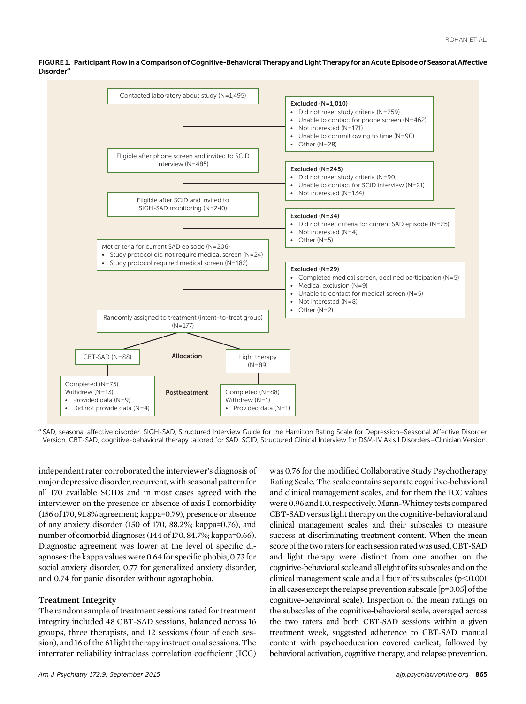FIGURE 1. Participant Flow in a Comparison of Cognitive-Behavioral Therapy and Light Therapy for an Acute Episode of Seasonal Affective **Disordera** 



a SAD, seasonal affective disorder. SIGH-SAD, Structured Interview Guide for the Hamilton Rating Scale for Depression–Seasonal Affective Disorder Version. CBT-SAD, cognitive-behavioral therapy tailored for SAD. SCID, Structured Clinical Interview for DSM-IV Axis I Disorders–Clinician Version.

independent rater corroborated the interviewer's diagnosis of major depressive disorder, recurrent, with seasonal pattern for all 170 available SCIDs and in most cases agreed with the interviewer on the presence or absence of axis I comorbidity (156 of 170, 91.8% agreement; kappa=0.79), presence or absence of any anxiety disorder (150 of 170, 88.2%; kappa=0.76), and number of comorbid diagnoses (144 of 170, 84.7%; kappa=0.66). Diagnostic agreement was lower at the level of specific diagnoses: the kappavalueswere 0.64 for specific phobia, 0.73 for social anxiety disorder, 0.77 for generalized anxiety disorder, and 0.74 for panic disorder without agoraphobia.

## Treatment Integrity

The random sample of treatment sessions rated for treatment integrity included 48 CBT-SAD sessions, balanced across 16 groups, three therapists, and 12 sessions (four of each session), and 16 of the 61 light therapy instructional sessions. The interrater reliability intraclass correlation coefficient (ICC)

Am J Psychiatry 172:9, September 2015 and the state of the state of the state of the state of the state of the state of the state of the state of the state of the state of the state of the state of the state of the state o

was 0.76 for the modified Collaborative Study Psychotherapy Rating Scale. The scale contains separate cognitive-behavioral and clinical management scales, and for them the ICC values were 0.96 and 1.0, respectively.Mann-Whitney tests compared CBT-SAD versuslight therapy on the cognitive-behavioral and clinical management scales and their subscales to measure success at discriminating treatment content. When the mean score of the two raters for each session rated was used, CBT-SAD and light therapy were distinct from one another on the cognitive-behavioral scale and all eight of its subscales and on the clinical management scale and all four of its subscales  $(p<0.001)$ in all cases except the relapse prevention subscale [p=0.05] of the cognitive-behavioral scale). Inspection of the mean ratings on the subscales of the cognitive-behavioral scale, averaged across the two raters and both CBT-SAD sessions within a given treatment week, suggested adherence to CBT-SAD manual content with psychoeducation covered earliest, followed by behavioral activation, cognitive therapy, and relapse prevention.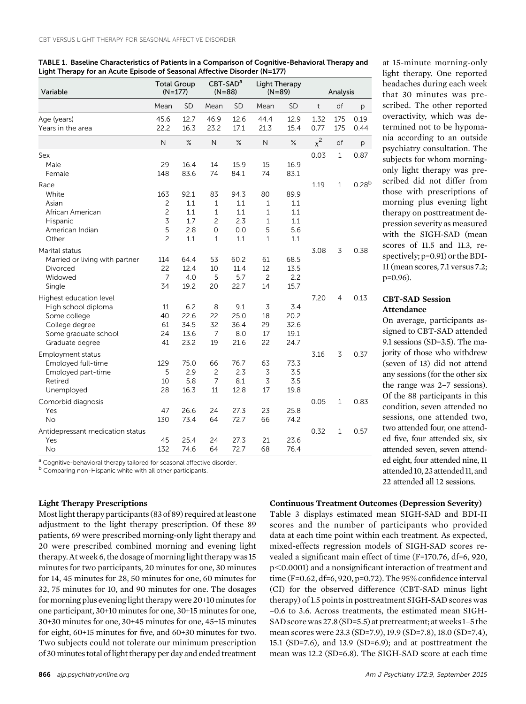| Variable                                | <b>Total Group</b><br>$(N=177)$ |              | $CBT-SADa$<br>$(N = 88)$         |             | Light Therapy<br>$(N=89)$ |              | Analysis     |                |                   |
|-----------------------------------------|---------------------------------|--------------|----------------------------------|-------------|---------------------------|--------------|--------------|----------------|-------------------|
|                                         | Mean                            | <b>SD</b>    | Mean                             | SD          | Mean                      | SD           | $\mathsf{t}$ | df             | р                 |
| Age (years)                             | 45.6                            | 12.7         | 46.9                             | 12.6        | 44.4                      | 12.9         | 1.32         | 175            | 0.19              |
| Years in the area                       | 22.2                            | 16.3         | 23.2                             | 17.1        | 21.3                      | 15.4         | 0.77         | 175            | 0.44              |
|                                         | N                               | %            | N                                | $\%$        | $\mathsf{N}$              | %            | $x^2$        | df             | р                 |
| Sex                                     |                                 |              |                                  |             |                           |              | 0.03         | $\mathbf{1}$   | 0.87              |
| Male                                    | 29                              | 16.4         | 14                               | 15.9        | 15                        | 16.9         |              |                |                   |
| Female                                  | 148                             | 83.6         | 74                               | 84.1        | 74                        | 83.1         |              |                |                   |
| Race                                    |                                 |              |                                  |             |                           |              | 1.19         | $\mathbf{1}$   | 0.28 <sup>b</sup> |
| White                                   | 163                             | 92.1         | 83                               | 94.3        | 80                        | 89.9         |              |                |                   |
| Asian                                   | 2                               | 1.1          | $\mathbf{1}$                     | 1.1         | $\mathbf{1}$              | 1.1          |              |                |                   |
| African American                        | $\overline{c}$                  | 1.1          | $\mathbf{1}$                     | 1.1         | $\mathbf{1}$              | 1.1          |              |                |                   |
| Hispanic                                | $\overline{3}$                  | 1.7          | $\overline{c}$                   | 2.3         | $\mathbf{1}$              | 1.1          |              |                |                   |
| American Indian                         | 5                               | 2.8          | 0                                | 0.0         | 5                         | 5.6          |              |                |                   |
| Other                                   | $\overline{c}$                  | 1.1          | 1                                | 1.1         | $\mathbf{1}$              | 1.1          |              |                |                   |
| Marital status                          |                                 |              |                                  |             |                           |              | 3.08         | 3              | 0.38              |
| Married or living with partner          | 114                             | 64.4         | 53                               | 60.2        | 61                        | 68.5         |              |                |                   |
| Divorced                                | 22                              | 12.4         | 10                               | 11.4        | 12                        | 13.5         |              |                |                   |
| Widowed                                 | $\overline{7}$<br>34            | 4.0          | 5                                | 5.7         | $\overline{c}$<br>14      | 2.2          |              |                |                   |
| Single                                  |                                 | 19.2         | 20                               | 22.7        |                           | 15.7         |              |                |                   |
| Highest education level                 |                                 |              |                                  |             |                           |              | 7.20         | $\overline{4}$ | 0.13              |
| High school diploma                     | 11                              | 6.2          | 8                                | 9.1         | 3                         | 3.4          |              |                |                   |
| Some college                            | 40                              | 22.6         | 22                               | 25.0        | 18                        | 20.2         |              |                |                   |
| College degree                          | 61                              | 34.5         | 32<br>$\overline{7}$             | 36.4        | 29<br>17                  | 32.6         |              |                |                   |
| Some graduate school<br>Graduate degree | 24<br>41                        | 13.6<br>23.2 | 19                               | 8.0<br>21.6 | 22                        | 19.1<br>24.7 |              |                |                   |
|                                         |                                 |              |                                  |             |                           |              |              |                |                   |
| <b>Employment status</b>                |                                 |              |                                  |             |                           |              | 3.16         | 3              | 0.37              |
| Employed full-time                      | 129<br>5                        | 75.0         | 66                               | 76.7        | 63                        | 73.3         |              |                |                   |
| Employed part-time<br>Retired           |                                 | 2.9<br>5.8   | $\overline{c}$<br>$\overline{7}$ | 2.3<br>8.1  | $\overline{3}$<br>3       | 3.5<br>3.5   |              |                |                   |
| Unemployed                              | 10<br>28                        | 16.3         | 11                               | 12.8        | 17                        | 19.8         |              |                |                   |
|                                         |                                 |              |                                  |             |                           |              |              |                |                   |
| Comorbid diagnosis                      |                                 |              |                                  |             |                           |              | 0.05         | $\mathbf{1}$   | 0.83              |
| Yes                                     | 47                              | 26.6         | 24                               | 27.3        | 23                        | 25.8         |              |                |                   |
| <b>No</b>                               | 130                             | 73.4         | 64                               | 72.7        | 66                        | 74.2         |              |                |                   |
| Antidepressant medication status        |                                 |              |                                  |             |                           |              | 0.32         | $\mathbf{1}$   | 0.57              |
| Yes                                     | 45                              | 25.4         | 24                               | 27.3        | 21                        | 23.6         |              |                |                   |
| No                                      | 132                             | 74.6         | 64                               | 72.7        | 68                        | 76.4         |              |                |                   |

TABLE 1. Baseline Characteristics of Patients in a Comparison of Cognitive-Behavioral Therapy and Light Therapy for an Acute Episode of Seasonal Affective Disorder (N=177)

<sup>a</sup> Cognitive-behavioral therapy tailored for seasonal affective disorder.

b Comparing non-Hispanic white with all other participants.

# Light Therapy Prescriptions

Most light therapy participants (83 of 89) required atleast one adjustment to the light therapy prescription. Of these 89 patients, 69 were prescribed morning-only light therapy and 20 were prescribed combined morning and evening light therapy. At week 6, the dosage of morninglight therapy was 15 minutes for two participants, 20 minutes for one, 30 minutes for 14, 45 minutes for 28, 50 minutes for one, 60 minutes for 32, 75 minutes for 10, and 90 minutes for one. The dosages for morning plus evening light therapy were 20+10minutes for one participant, 30+10 minutes for one, 30+15 minutes for one, 30+30 minutes for one, 30+45 minutes for one, 45+15 minutes for eight, 60+15 minutes for five, and 60+30 minutes for two. Two subjects could not tolerate our minimum prescription of 30 minutes total of light therapy per day and ended treatment

# Table 3 displays estimated mean SIGH-SAD and BDI-II

Continuous Treatment Outcomes (Depression Severity)

scores and the number of participants who provided data at each time point within each treatment. As expected, mixed-effects regression models of SIGH-SAD scores revealed a significant main effect of time (F=170.76, df=6, 920, p<0.0001) and a nonsignificant interaction of treatment and time (F=0.62, df=6, 920, p=0.72). The 95% confidence interval (CI) for the observed difference (CBT-SAD minus light therapy) of 1.5 points in posttreatment SIGH-SAD scores was –0.6 to 3.6. Across treatments, the estimated mean SIGH-SAD score was 27.8 (SD=5.5) at pretreatment; atweeks 1–5 the mean scores were 23.3 (SD=7.9), 19.9 (SD=7.8), 18.0 (SD=7.4), 15.1 (SD=7.6), and 13.9 (SD=6.9); and at posttreatment the mean was 12.2 (SD=6.8). The SIGH-SAD score at each time

at 15-minute morning-only light therapy. One reported headaches during each week that 30 minutes was prescribed. The other reported overactivity, which was determined not to be hypomania according to an outside psychiatry consultation. The subjects for whom morningonly light therapy was prescribed did not differ from those with prescriptions of morning plus evening light therapy on posttreatment depression severity as measured with the SIGH-SAD (mean scores of 11.5 and 11.3, respectively; p=0.91) or the BDI-II (mean scores, 7.1 versus 7.2; p=0.96).

# CBT-SAD Session Attendance

On average, participants assigned to CBT-SAD attended 9.1 sessions (SD=3.5). The majority of those who withdrew (seven of 13) did not attend any sessions (for the other six the range was 2–7 sessions). Of the 88 participants in this condition, seven attended no sessions, one attended two, two attended four, one attended five, four attended six, six attended seven, seven attended eight, four attended nine, 11 attended 10, 23 attended 11, and 22 attended all 12 sessions.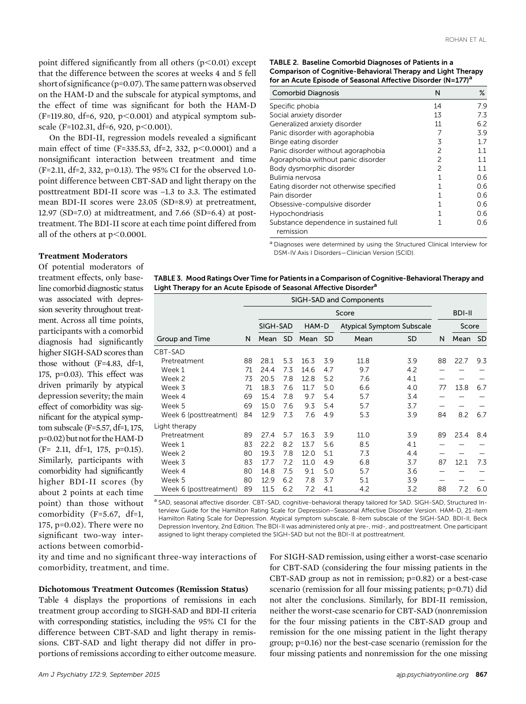point differed significantly from all others  $(p<0.01)$  except that the difference between the scores at weeks 4 and 5 fell short of significance (p=0.07). The same pattern was observed on the HAM-D and the subscale for atypical symptoms, and the effect of time was significant for both the HAM-D  $(F=119.80, df=6, 920, p<0.001)$  and atypical symptom subscale (F=102.31, df=6, 920, p $<0.001$ ).

On the BDI-II, regression models revealed a significant main effect of time (F=335.53, df=2, 332, p<0.0001) and a nonsignificant interaction between treatment and time (F=2.11, df=2, 332, p=0.13). The 95% CI for the observed 1.0 point difference between CBT-SAD and light therapy on the posttreatment BDI-II score was –1.3 to 3.3. The estimated mean BDI-II scores were 23.05 (SD=8.9) at pretreatment, 12.97 (SD=7.0) at midtreatment, and 7.66 (SD=6.4) at posttreatment. The BDI-II score at each time point differed from all of the others at  $p<0.0001$ .

| TABLE 2. Baseline Comorbid Diagnoses of Patients in a                    |
|--------------------------------------------------------------------------|
| <b>Comparison of Cognitive-Behavioral Therapy and Light Therapy</b>      |
| for an Acute Episode of Seasonal Affective Disorder (N=177) <sup>a</sup> |

| <b>Comorbid Diagnosis</b>                           | N              | $\%$ |
|-----------------------------------------------------|----------------|------|
| Specific phobia                                     | 14             | 7.9  |
| Social anxiety disorder                             | 13             | 7.3  |
| Generalized anxiety disorder                        | 11             | 6.2  |
| Panic disorder with agoraphobia                     | 7              | 3.9  |
| Binge eating disorder                               | 3              | 17   |
| Panic disorder without agoraphobia                  | 2              | 11   |
| Agoraphobia without panic disorder                  | $\mathfrak{p}$ | 11   |
| Body dysmorphic disorder                            | 2              | 1.1  |
| Bulimia nervosa                                     | 1              | 0.6  |
| Eating disorder not otherwise specified             | 1              | 0.6  |
| Pain disorder                                       | 1              | 0.6  |
| Obsessive-compulsive disorder                       | 1              | 0.6  |
| Hypochondriasis                                     |                | 0.6  |
| Substance dependence in sustained full<br>remission |                | 0.6  |

<sup>a</sup> Diagnoses were determined by using the Structured Clinical Interview for DSM-IV Axis I Disorders—Clinician Version (SCID).

# Treatment Moderators

Of potential moderators of treatment effects, only baseline comorbid diagnostic status was associated with depression severity throughout treatment. Across all time points, participants with a comorbid diagnosis had significantly higher SIGH-SAD scores than those without (F=4.83, df=1, 175, p=0.03). This effect was driven primarily by atypical depression severity; the main effect of comorbidity was significant for the atypical symptom subscale (F=5.57, df=1, 175, p=0.02) butnot for theHAM-D (F= 2.11, df=1, 175, p=0.15). Similarly, participants with comorbidity had significantly higher BDI-II scores (by about 2 points at each time point) than those without comorbidity (F=5.67, df=1, 175, p=0.02). There were no significant two-way interactions between comorbid-

| TABLE 3. Mood Ratings Over Time for Patients in a Comparison of Cognitive-Behavioral Therapy and |
|--------------------------------------------------------------------------------------------------|
| Light Therapy for an Acute Episode of Seasonal Affective Disorder <sup>a</sup>                   |

| SIGH-SAD and Components |    |          |           |       |           |                                  |           |    |               |           |
|-------------------------|----|----------|-----------|-------|-----------|----------------------------------|-----------|----|---------------|-----------|
|                         |    | Score    |           |       |           |                                  |           |    | <b>BDI-II</b> |           |
|                         |    | SIGH-SAD |           | HAM-D |           | <b>Atypical Symptom Subscale</b> |           |    | Score         |           |
| Group and Time          | N  | Mean     | <b>SD</b> | Mean  | <b>SD</b> | Mean                             | <b>SD</b> | N  | Mean          | <b>SD</b> |
| CBT-SAD                 |    |          |           |       |           |                                  |           |    |               |           |
| Pretreatment            | 88 | 28.1     | 5.3       | 16.3  | 3.9       | 11.8                             | 3.9       | 88 | 22.7          | 9.3       |
| Week 1                  | 71 | 24.4     | 7.3       | 14.6  | 4.7       | 9.7                              | 4.2       |    |               |           |
| Week 2                  | 73 | 20.5     | 7.8       | 12.8  | 5.2       | 7.6                              | 4.1       |    |               |           |
| Week 3                  | 71 | 18.3     | 7.6       | 11.7  | 5.0       | 6.6                              | 4.0       | 77 | 13.8          | 6.7       |
| Week 4                  | 69 | 15.4     | 7.8       | 9.7   | 5.4       | 5.7                              | 3.4       |    |               |           |
| Week 5                  | 69 | 15.0     | 7.6       | 9.3   | 5.4       | 5.7                              | 3.7       |    |               |           |
| Week 6 (posttreatment)  | 84 | 12.9     | 7.3       | 7.6   | 4.9       | 5.3                              | 3.9       | 84 | 8.2           | 6.7       |
| Light therapy           |    |          |           |       |           |                                  |           |    |               |           |
| Pretreatment            | 89 | 27.4     | 5.7       | 16.3  | 3.9       | 11.0                             | 3.9       | 89 | 23.4          | 8.4       |
| Week 1                  | 83 | 22.2     | 8.2       | 13.7  | 5.6       | 8.5                              | 4.1       |    |               |           |
| Week 2                  | 80 | 19.3     | 7.8       | 12.0  | 5.1       | 7.3                              | 4.4       |    |               |           |
| Week 3                  | 83 | 17.7     | 7.2       | 11.0  | 4.9       | 6.8                              | 3.7       | 87 | 12.1          | 7.3       |
| Week 4                  | 80 | 14.8     | 7.5       | 9.1   | 5.0       | 5.7                              | 3.6       |    |               |           |
| Week 5                  | 80 | 12.9     | 6.2       | 7.8   | 3.7       | 5.1                              | 3.9       |    |               |           |
| Week 6 (posttreatment)  | 89 | 11.5     | 6.2       | 7.2   | 4.1       | 4.2                              | 3.2       | 88 | 7.2           | 6.0       |

a SAD, seasonal affective disorder. CBT-SAD, cognitive-behavioral therapy tailored for SAD. SIGH-SAD, Structured Interview Guide for the Hamilton Rating Scale for Depression–Seasonal Affective Disorder Version. HAM-D, 21-item Hamilton Rating Scale for Depression. Atypical symptom subscale, 8-item subscale of the SIGH-SAD. BDI-II, Beck Depression Inventory, 2nd Edition. The BDI-II was administered only at pre-, mid-, and posttreatment. One participant assigned to light therapy completed the SIGH-SAD but not the BDI-II at posttreatment.

ity and time and no significant three-way interactions of comorbidity, treatment, and time.

## Dichotomous Treatment Outcomes (Remission Status)

Table 4 displays the proportions of remissions in each treatment group according to SIGH-SAD and BDI-II criteria with corresponding statistics, including the 95% CI for the difference between CBT-SAD and light therapy in remissions. CBT-SAD and light therapy did not differ in proportions of remissions according to either outcome measure.

For SIGH-SAD remission, using either a worst-case scenario for CBT-SAD (considering the four missing patients in the CBT-SAD group as not in remission; p=0.82) or a best-case scenario (remission for all four missing patients; p=0.71) did not alter the conclusions. Similarly, for BDI-II remission, neither the worst-case scenario for CBT-SAD (nonremission for the four missing patients in the CBT-SAD group and remission for the one missing patient in the light therapy group; p=0.16) nor the best-case scenario (remission for the four missing patients and nonremission for the one missing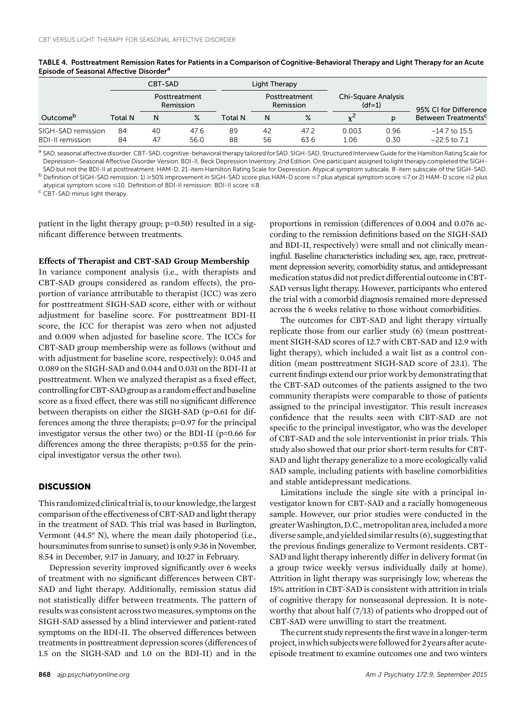|                         |                            | CBT-SAD |      |                            | Light Therapy |                                 |       |                       |                                 |
|-------------------------|----------------------------|---------|------|----------------------------|---------------|---------------------------------|-------|-----------------------|---------------------------------|
|                         | Posttreatment<br>Remission |         |      | Posttreatment<br>Remission |               | Chi-Square Analysis<br>$(df=1)$ |       | 95% CI for Difference |                                 |
| Outcome <sup>p</sup>    | Total N                    | N       | $\%$ | Total N                    | Ν             | $\%$                            |       | n                     | Between Treatments <sup>c</sup> |
| SIGH-SAD remission      | 84                         | 40      | 47.6 | 89                         | 42            | 47.2                            | 0.003 | 0.96                  | $-14.7$ to 15.5                 |
| <b>BDI-II remission</b> | 84                         | 47      | 56.0 | 88                         | 56            | 63.6                            | 1.06  | 0.30                  | $-22.5$ to $7.1$                |

TABLE 4. Posttreatment Remission Rates for Patients in a Comparison of Cognitive-Behavioral Therapy and Light Therapy for an Acute Episode of Seasonal Affective Disorder<sup>a</sup>

a SAD, seasonal affective disorder. CBT-SAD, cognitive-behavioral therapy tailored for SAD. SIGH-SAD, Structured Interview Guide for the Hamilton Rating Scale for Depression–Seasonal Affective Disorder Version. BDI-II, Beck Depression Inventory, 2nd Edition. One participant assigned to light therapy completed the SIGH-

SAD but not the BDI-II at posttreatment. HAM-D, 21-item Hamilton Rating Scale for Depression. Atypical symptom subscale, 8-item subscale of the SIGH-SAD.<br><sup>b</sup> Definition of SIGH-SAD remission: 1) ≥50% improvement in SIGH-S atypical symptom score  $\leq$ 10. Definition of BDI-II remission: BDI-II score  $\leq$ 8. <sup>c</sup> CBT-SAD minus light therapy.

patient in the light therapy group; p=0.50) resulted in a significant difference between treatments.

# Effects of Therapist and CBT-SAD Group Membership

In variance component analysis (i.e., with therapists and CBT-SAD groups considered as random effects), the proportion of variance attributable to therapist (ICC) was zero for posttreatment SIGH-SAD score, either with or without adjustment for baseline score. For posttreatment BDI-II score, the ICC for therapist was zero when not adjusted and 0.009 when adjusted for baseline score. The ICCs for CBT-SAD group membership were as follows (without and with adjustment for baseline score, respectively): 0.045 and 0.089 on the SIGH-SAD and 0.044 and 0.031 on the BDI-II at posttreatment. When we analyzed therapist as a fixed effect, controlling for CBT-SAD group as a random effect and baseline score as a fixed effect, there was still no significant difference between therapists on either the SIGH-SAD (p=0.61 for differences among the three therapists; p=0.97 for the principal investigator versus the other two) or the BDI-II (p=0.66 for differences among the three therapists; p=0.55 for the principal investigator versus the other two).

# **DISCUSSION**

This randomized clinical trial is, to our knowledge, the largest comparison of the effectiveness of CBT-SAD and light therapy in the treatment of SAD. This trial was based in Burlington, Vermont (44.5° N), where the mean daily photoperiod (i.e., hours:minutes from sunrise to sunset) is only 9:36 in November, 8:54 in December, 9:17 in January, and 10:27 in February.

Depression severity improved significantly over 6 weeks of treatment with no significant differences between CBT-SAD and light therapy. Additionally, remission status did not statistically differ between treatments. The pattern of results was consistent across two measures, symptoms on the SIGH-SAD assessed by a blind interviewer and patient-rated symptoms on the BDI-II. The observed differences between treatments in posttreatment depression scores (differences of 1.5 on the SIGH-SAD and 1.0 on the BDI-II) and in the proportions in remission (differences of 0.004 and 0.076 according to the remission definitions based on the SIGH-SAD and BDI-II, respectively) were small and not clinically meaningful. Baseline characteristics including sex, age, race, pretreatment depression severity, comorbidity status, and antidepressant medication status did not predict differential outcome in CBT-SAD versus light therapy. However, participants who entered the trial with a comorbid diagnosis remained more depressed across the 6 weeks relative to those without comorbidities.

The outcomes for CBT-SAD and light therapy virtually replicate those from our earlier study (6) (mean posttreatment SIGH-SAD scores of 12.7 with CBT-SAD and 12.9 with light therapy), which included a wait list as a control condition (mean posttreatment SIGH-SAD score of 23.1). The current findings extend our prior work by demonstrating that the CBT-SAD outcomes of the patients assigned to the two community therapists were comparable to those of patients assigned to the principal investigator. This result increases confidence that the results seen with CBT-SAD are not specific to the principal investigator, who was the developer of CBT-SAD and the sole interventionist in prior trials. This study also showed that our prior short-term results for CBT-SAD and light therapy generalize to a more ecologically valid SAD sample, including patients with baseline comorbidities and stable antidepressant medications.

Limitations include the single site with a principal investigator known for CBT-SAD and a racially homogeneous sample. However, our prior studies were conducted in the greater Washington, D.C., metropolitan area, included a more diverse sample, and yielded similar results (6), suggesting that the previous findings generalize to Vermont residents. CBT-SAD and light therapy inherently differ in delivery format (in a group twice weekly versus individually daily at home). Attrition in light therapy was surprisingly low, whereas the 15% attrition in CBT-SAD is consistent with attrition in trials of cognitive therapy for nonseasonal depression. It is noteworthy that about half (7/13) of patients who dropped out of CBT-SAD were unwilling to start the treatment.

The current study represents the first wave in a longer-term project,inwhich subjectswere followed for 2 yearsafteracuteepisode treatment to examine outcomes one and two winters